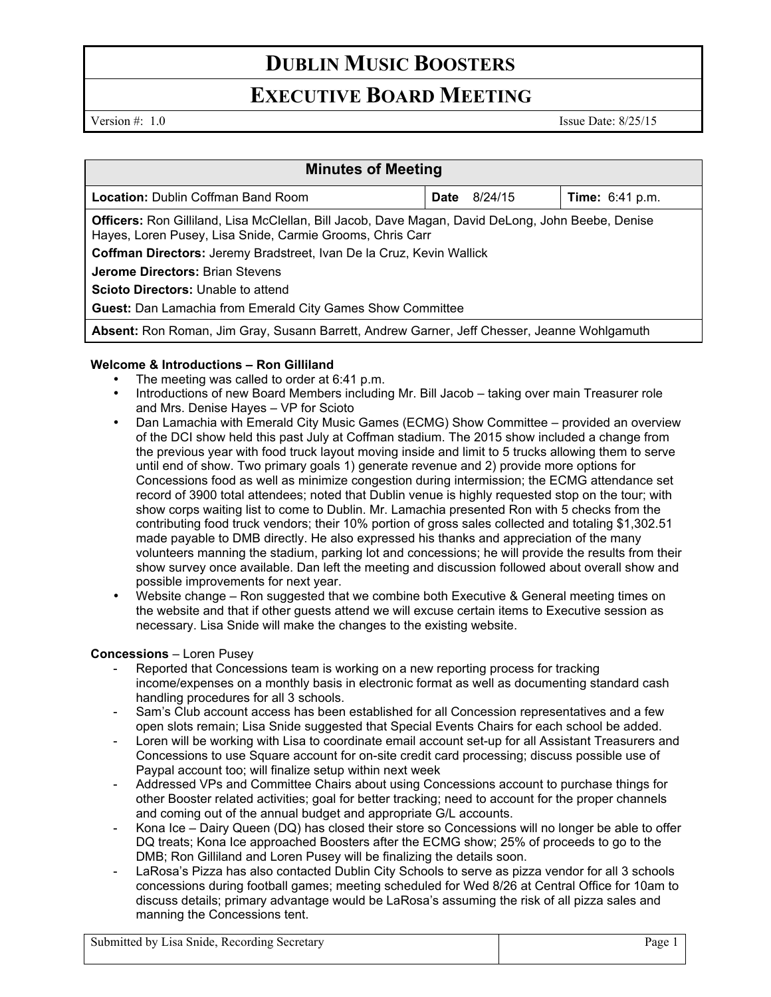# **EXECUTIVE BOARD MEETING**

Version #: 1.0 Issue Date: 8/25/15

| <b>Minutes of Meeting</b>                                                                                                                                             |      |         |                        |
|-----------------------------------------------------------------------------------------------------------------------------------------------------------------------|------|---------|------------------------|
| <b>Location: Dublin Coffman Band Room</b>                                                                                                                             | Date | 8/24/15 | <b>Time:</b> 6:41 p.m. |
| <b>Officers:</b> Ron Gilliland, Lisa McClellan, Bill Jacob, Dave Magan, David DeLong, John Beebe, Denise<br>Hayes, Loren Pusey, Lisa Snide, Carmie Grooms, Chris Carr |      |         |                        |
| Coffman Directors: Jeremy Bradstreet, Ivan De la Cruz, Kevin Wallick                                                                                                  |      |         |                        |
| <b>Jerome Directors: Brian Stevens</b>                                                                                                                                |      |         |                        |
| <b>Scioto Directors:</b> Unable to attend                                                                                                                             |      |         |                        |
| <b>Guest:</b> Dan Lamachia from Emerald City Games Show Committee                                                                                                     |      |         |                        |
| Absent: Ron Roman, Jim Gray, Susann Barrett, Andrew Garner, Jeff Chesser, Jeanne Wohlgamuth                                                                           |      |         |                        |

# **Welcome & Introductions – Ron Gilliland**

- The meeting was called to order at 6:41 p.m.
- Introductions of new Board Members including Mr. Bill Jacob taking over main Treasurer role and Mrs. Denise Hayes – VP for Scioto
- Dan Lamachia with Emerald City Music Games (ECMG) Show Committee provided an overview of the DCI show held this past July at Coffman stadium. The 2015 show included a change from the previous year with food truck layout moving inside and limit to 5 trucks allowing them to serve until end of show. Two primary goals 1) generate revenue and 2) provide more options for Concessions food as well as minimize congestion during intermission; the ECMG attendance set record of 3900 total attendees; noted that Dublin venue is highly requested stop on the tour; with show corps waiting list to come to Dublin. Mr. Lamachia presented Ron with 5 checks from the contributing food truck vendors; their 10% portion of gross sales collected and totaling \$1,302.51 made payable to DMB directly. He also expressed his thanks and appreciation of the many volunteers manning the stadium, parking lot and concessions; he will provide the results from their show survey once available. Dan left the meeting and discussion followed about overall show and possible improvements for next year.
- Website change Ron suggested that we combine both Executive & General meeting times on the website and that if other guests attend we will excuse certain items to Executive session as necessary. Lisa Snide will make the changes to the existing website.

## **Concessions** – Loren Pusey

- Reported that Concessions team is working on a new reporting process for tracking income/expenses on a monthly basis in electronic format as well as documenting standard cash handling procedures for all 3 schools.
- Sam's Club account access has been established for all Concession representatives and a few open slots remain; Lisa Snide suggested that Special Events Chairs for each school be added.
- Loren will be working with Lisa to coordinate email account set-up for all Assistant Treasurers and Concessions to use Square account for on-site credit card processing; discuss possible use of Paypal account too; will finalize setup within next week
- Addressed VPs and Committee Chairs about using Concessions account to purchase things for other Booster related activities; goal for better tracking; need to account for the proper channels and coming out of the annual budget and appropriate G/L accounts.
- Kona Ice Dairy Queen (DQ) has closed their store so Concessions will no longer be able to offer DQ treats; Kona Ice approached Boosters after the ECMG show; 25% of proceeds to go to the DMB; Ron Gilliland and Loren Pusey will be finalizing the details soon.
- LaRosa's Pizza has also contacted Dublin City Schools to serve as pizza vendor for all 3 schools concessions during football games; meeting scheduled for Wed 8/26 at Central Office for 10am to discuss details; primary advantage would be LaRosa's assuming the risk of all pizza sales and manning the Concessions tent.

Submitted by Lisa Snide, Recording Secretary Page 1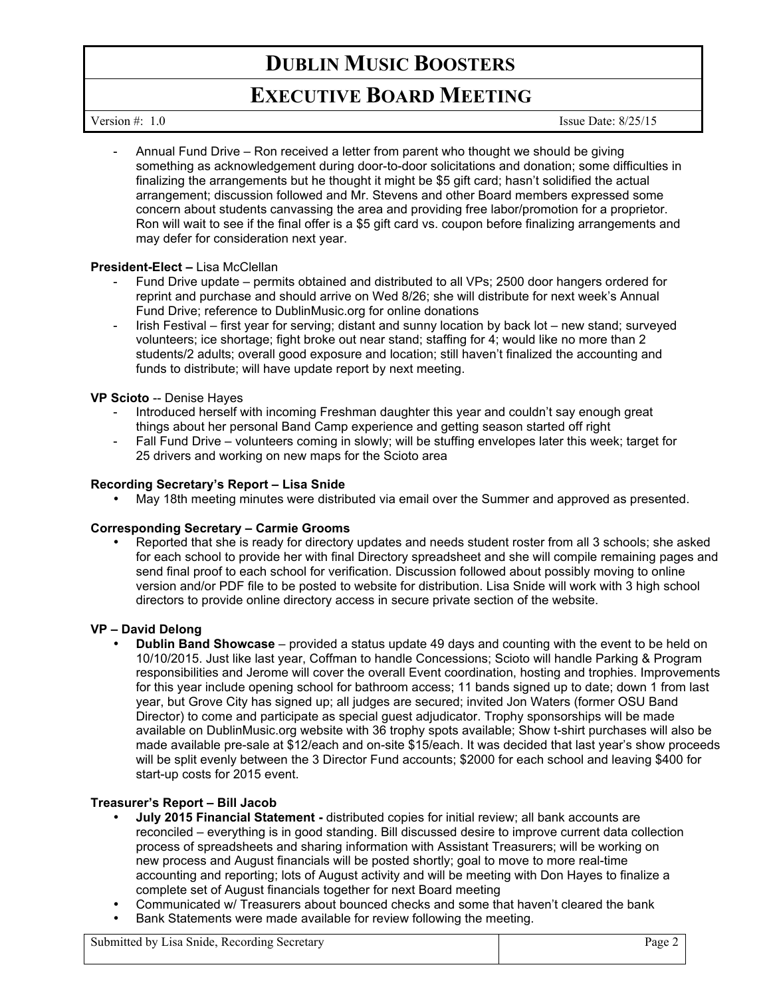# **EXECUTIVE BOARD MEETING**

Version #: 1.0 Issue Date: 8/25/15

- Annual Fund Drive – Ron received a letter from parent who thought we should be giving something as acknowledgement during door-to-door solicitations and donation; some difficulties in finalizing the arrangements but he thought it might be \$5 gift card; hasn't solidified the actual arrangement; discussion followed and Mr. Stevens and other Board members expressed some concern about students canvassing the area and providing free labor/promotion for a proprietor. Ron will wait to see if the final offer is a \$5 gift card vs. coupon before finalizing arrangements and may defer for consideration next year.

# **President-Elect –** Lisa McClellan

- Fund Drive update permits obtained and distributed to all VPs; 2500 door hangers ordered for reprint and purchase and should arrive on Wed 8/26; she will distribute for next week's Annual Fund Drive; reference to DublinMusic.org for online donations
- Irish Festival first year for serving; distant and sunny location by back lot new stand; surveyed volunteers; ice shortage; fight broke out near stand; staffing for 4; would like no more than 2 students/2 adults; overall good exposure and location; still haven't finalized the accounting and funds to distribute; will have update report by next meeting.

# **VP Scioto** -- Denise Hayes

- Introduced herself with incoming Freshman daughter this year and couldn't say enough great things about her personal Band Camp experience and getting season started off right
- Fall Fund Drive volunteers coming in slowly; will be stuffing envelopes later this week; target for 25 drivers and working on new maps for the Scioto area

## **Recording Secretary's Report – Lisa Snide**

• May 18th meeting minutes were distributed via email over the Summer and approved as presented.

## **Corresponding Secretary – Carmie Grooms**

• Reported that she is ready for directory updates and needs student roster from all 3 schools; she asked for each school to provide her with final Directory spreadsheet and she will compile remaining pages and send final proof to each school for verification. Discussion followed about possibly moving to online version and/or PDF file to be posted to website for distribution. Lisa Snide will work with 3 high school directors to provide online directory access in secure private section of the website.

## **VP – David Delong**

• **Dublin Band Showcase** – provided a status update 49 days and counting with the event to be held on 10/10/2015. Just like last year, Coffman to handle Concessions; Scioto will handle Parking & Program responsibilities and Jerome will cover the overall Event coordination, hosting and trophies. Improvements for this year include opening school for bathroom access; 11 bands signed up to date; down 1 from last year, but Grove City has signed up; all judges are secured; invited Jon Waters (former OSU Band Director) to come and participate as special guest adjudicator. Trophy sponsorships will be made available on DublinMusic.org website with 36 trophy spots available; Show t-shirt purchases will also be made available pre-sale at \$12/each and on-site \$15/each. It was decided that last year's show proceeds will be split evenly between the 3 Director Fund accounts; \$2000 for each school and leaving \$400 for start-up costs for 2015 event.

# **Treasurer's Report – Bill Jacob**

- **July 2015 Financial Statement -** distributed copies for initial review; all bank accounts are reconciled – everything is in good standing. Bill discussed desire to improve current data collection process of spreadsheets and sharing information with Assistant Treasurers; will be working on new process and August financials will be posted shortly; goal to move to more real-time accounting and reporting; lots of August activity and will be meeting with Don Hayes to finalize a complete set of August financials together for next Board meeting
- Communicated w/ Treasurers about bounced checks and some that haven't cleared the bank
- Bank Statements were made available for review following the meeting.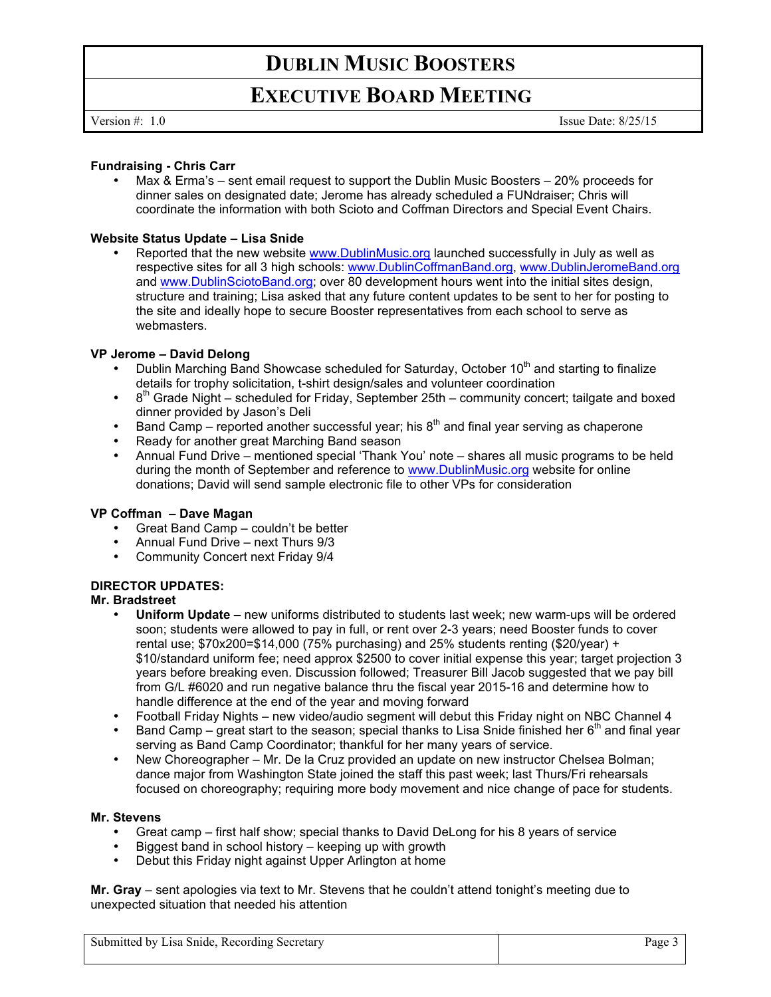# **EXECUTIVE BOARD MEETING**

Version #: 1.0 Issue Date: 8/25/15

## **Fundraising - Chris Carr**

Max & Erma's – sent email request to support the Dublin Music Boosters – 20% proceeds for dinner sales on designated date; Jerome has already scheduled a FUNdraiser; Chris will coordinate the information with both Scioto and Coffman Directors and Special Event Chairs.

# **Website Status Update – Lisa Snide**

Reported that the new website www.DublinMusic.org launched successfully in July as well as respective sites for all 3 high schools: www.DublinCoffmanBand.org, www.DublinJeromeBand.org and www.DublinSciotoBand.org; over 80 development hours went into the initial sites design, structure and training; Lisa asked that any future content updates to be sent to her for posting to the site and ideally hope to secure Booster representatives from each school to serve as webmasters.

## **VP Jerome – David Delong**

- Dublin Marching Band Showcase scheduled for Saturday, October 10<sup>th</sup> and starting to finalize details for trophy solicitation, t-shirt design/sales and volunteer coordination
- $\cdot$  8<sup>th</sup> Grade Night scheduled for Friday, September 25th community concert; tailgate and boxed dinner provided by Jason's Deli
- Band Camp reported another successful year; his  $8<sup>th</sup>$  and final year serving as chaperone
- Ready for another great Marching Band season
- Annual Fund Drive mentioned special 'Thank You' note shares all music programs to be held during the month of September and reference to www.DublinMusic.org website for online donations; David will send sample electronic file to other VPs for consideration

## **VP Coffman – Dave Magan**

- Great Band Camp couldn't be better
- Annual Fund Drive next Thurs 9/3
- Community Concert next Friday 9/4

# **DIRECTOR UPDATES:**

# **Mr. Bradstreet**

- **Uniform Update –** new uniforms distributed to students last week; new warm-ups will be ordered soon; students were allowed to pay in full, or rent over 2-3 years; need Booster funds to cover rental use; \$70x200=\$14,000 (75% purchasing) and 25% students renting (\$20/year) + \$10/standard uniform fee; need approx \$2500 to cover initial expense this year; target projection 3 years before breaking even. Discussion followed; Treasurer Bill Jacob suggested that we pay bill from G/L #6020 and run negative balance thru the fiscal year 2015-16 and determine how to handle difference at the end of the year and moving forward
- Football Friday Nights new video/audio segment will debut this Friday night on NBC Channel 4
- Band Camp great start to the season; special thanks to Lisa Snide finished her  $6<sup>th</sup>$  and final year serving as Band Camp Coordinator; thankful for her many years of service.
- New Choreographer Mr. De la Cruz provided an update on new instructor Chelsea Bolman; dance major from Washington State joined the staff this past week; last Thurs/Fri rehearsals focused on choreography; requiring more body movement and nice change of pace for students.

## **Mr. Stevens**

- Great camp first half show; special thanks to David DeLong for his 8 years of service
- Biggest band in school history keeping up with growth
- Debut this Friday night against Upper Arlington at home

**Mr. Gray** – sent apologies via text to Mr. Stevens that he couldn't attend tonight's meeting due to unexpected situation that needed his attention